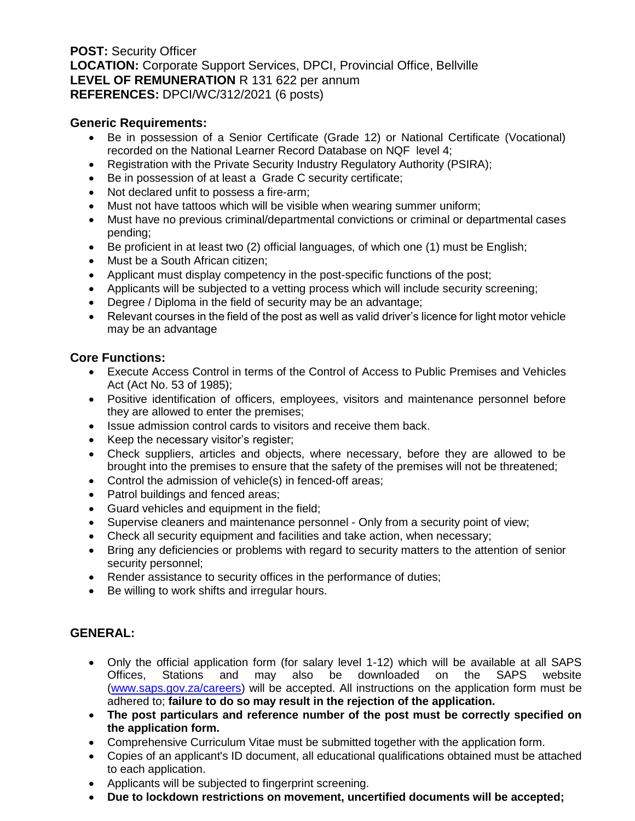**POST:** Security Officer **LOCATION:** Corporate Support Services, DPCI, Provincial Office, Bellville **LEVEL OF REMUNERATION** R 131 622 per annum **REFERENCES:** DPCI/WC/312/2021 (6 posts)

### **Generic Requirements:**

- Be in possession of a Senior Certificate (Grade 12) or National Certificate (Vocational) recorded on the National Learner Record Database on NQF level 4;
- Registration with the Private Security Industry Regulatory Authority (PSIRA);
- Be in possession of at least a Grade C security certificate;
- Not declared unfit to possess a fire-arm;
- Must not have tattoos which will be visible when wearing summer uniform;
- Must have no previous criminal/departmental convictions or criminal or departmental cases pending;
- Be proficient in at least two (2) official languages, of which one (1) must be English;
- Must be a South African citizen;
- Applicant must display competency in the post-specific functions of the post;
- Applicants will be subjected to a vetting process which will include security screening;
- Degree / Diploma in the field of security may be an advantage;
- Relevant courses in the field of the post as well as valid driver's licence for light motor vehicle may be an advantage

## **Core Functions:**

- Execute Access Control in terms of the Control of Access to Public Premises and Vehicles Act (Act No. 53 of 1985);
- Positive identification of officers, employees, visitors and maintenance personnel before they are allowed to enter the premises;
- Issue admission control cards to visitors and receive them back.
- Keep the necessary visitor's register;
- Check suppliers, articles and objects, where necessary, before they are allowed to be brought into the premises to ensure that the safety of the premises will not be threatened;
- Control the admission of vehicle(s) in fenced-off areas;
- Patrol buildings and fenced areas;
- Guard vehicles and equipment in the field;
- Supervise cleaners and maintenance personnel Only from a security point of view;
- Check all security equipment and facilities and take action, when necessary;
- Bring any deficiencies or problems with regard to security matters to the attention of senior security personnel;
- Render assistance to security offices in the performance of duties;
- Be willing to work shifts and irregular hours.

# **GENERAL:**

- Only the official application form (for salary level 1-12) which will be available at all SAPS Offices, Stations and may also be downloaded on the SAPS website [\(www.saps.gov.za/careers\)](http://www.saps.gov.za/careers) will be accepted. All instructions on the application form must be adhered to; **failure to do so may result in the rejection of the application.**
- **The post particulars and reference number of the post must be correctly specified on the application form.**
- Comprehensive Curriculum Vitae must be submitted together with the application form.
- Copies of an applicant's ID document, all educational qualifications obtained must be attached to each application.
- Applicants will be subjected to fingerprint screening.
- **Due to lockdown restrictions on movement, uncertified documents will be accepted;**